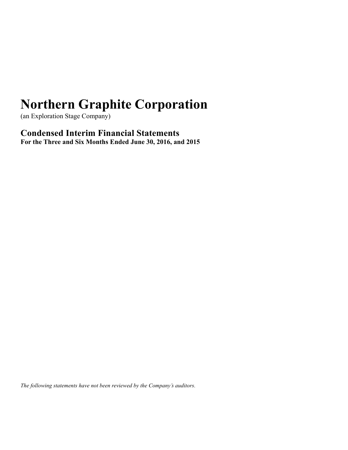(an Exploration Stage Company)

**Condensed Interim Financial Statements For the Three and Six Months Ended June 30, 2016, and 2015**

*The following statements have not been reviewed by the Company's auditors.*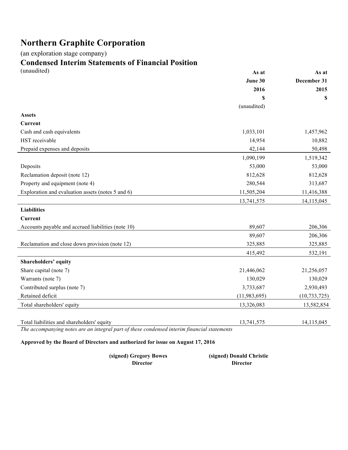(an exploration stage company)

# **Condensed Interim Statements of Financial Position**

| (unaudited)                                        | As at          | As at          |
|----------------------------------------------------|----------------|----------------|
|                                                    | June 30        | December 31    |
|                                                    | 2016           | 2015           |
|                                                    | \$             | \$             |
|                                                    | (unaudited)    |                |
| <b>Assets</b>                                      |                |                |
| <b>Current</b>                                     |                |                |
| Cash and cash equivalents                          | 1,033,101      | 1,457,962      |
| HST receivable                                     | 14,954         | 10,882         |
| Prepaid expenses and deposits                      | 42,144         | 50,498         |
|                                                    | 1,090,199      | 1,519,342      |
| Deposits                                           | 53,000         | 53,000         |
| Reclamation deposit (note 12)                      | 812,628        | 812,628        |
| Property and equipment (note 4)                    | 280,544        | 313,687        |
| Exploration and evaluation assets (notes 5 and 6)  | 11,505,204     | 11,416,388     |
|                                                    | 13,741,575     | 14,115,045     |
| <b>Liabilities</b>                                 |                |                |
| <b>Current</b>                                     |                |                |
| Accounts payable and accrued liabilities (note 10) | 89,607         | 206,306        |
|                                                    | 89,607         | 206,306        |
| Reclamation and close down provision (note 12)     | 325,885        | 325,885        |
|                                                    | 415,492        | 532,191        |
| <b>Shareholders' equity</b>                        |                |                |
| Share capital (note 7)                             | 21,446,062     | 21,256,057     |
| Warrants (note 7)                                  | 130,029        | 130,029        |
| Contributed surplus (note 7)                       | 3,733,687      | 2,930,493      |
| Retained deficit                                   | (11, 983, 695) | (10, 733, 725) |
| Total shareholders' equity                         | 13,326,083     | 13,582,854     |
|                                                    |                |                |
| Total liabilities and shareholders' equity         | 13,741,575     | 14,115,045     |

*The accompanying notes are an integral part of these condensed interim financial statements* 

### **Approved by the Board of Directors and authorized for issue on August 17, 2016**

| (signed) Gregory Bowes | (signed) Donald Christie |
|------------------------|--------------------------|
| Director               | Director                 |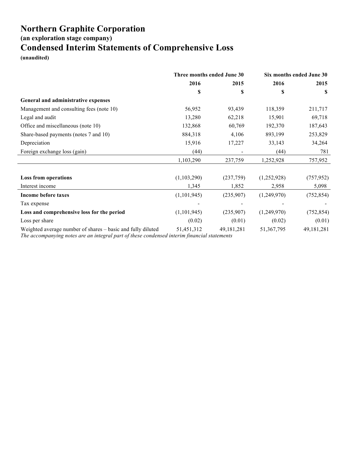**(an exploration stage company)**

## **Condensed Interim Statements of Comprehensive Loss**

**(unaudited)**

|                                                             | Three months ended June 30 |              | Six months ended June 30 |              |
|-------------------------------------------------------------|----------------------------|--------------|--------------------------|--------------|
|                                                             | 2016<br>2015               |              | 2016                     | 2015         |
|                                                             | S                          | S            | S                        | S            |
| General and administrative expenses                         |                            |              |                          |              |
| Management and consulting fees (note 10)                    | 56,952                     | 93,439       | 118,359                  | 211,717      |
| Legal and audit                                             | 13,280                     | 62,218       | 15,901                   | 69,718       |
| Office and miscellaneous (note 10)                          | 132,868                    | 60,769       | 192,370                  | 187,643      |
| Share-based payments (notes 7 and 10)                       | 884,318                    | 4,106        | 893,199                  | 253,829      |
| Depreciation                                                | 15,916                     | 17,227       | 33,143                   | 34,264       |
| Foreign exchange loss (gain)                                | (44)                       |              | (44)                     | 781          |
|                                                             | 1,103,290                  | 237,759      | 1,252,928                | 757,952      |
|                                                             |                            |              |                          |              |
| <b>Loss from operations</b>                                 | (1,103,290)                | (237,759)    | (1,252,928)              | (757, 952)   |
| Interest income                                             | 1,345                      | 1,852        | 2,958                    | 5,098        |
| <b>Income before taxes</b>                                  | (1,101,945)                | (235,907)    | (1,249,970)              | (752, 854)   |
| Tax expense                                                 |                            |              |                          |              |
| Loss and comprehensive loss for the period                  | (1,101,945)                | (235,907)    | (1,249,970)              | (752, 854)   |
| Loss per share                                              | (0.02)                     | (0.01)       | (0.02)                   | (0.01)       |
| Weighted average number of shares – basic and fully diluted | 51,451,312                 | 49, 181, 281 | 51,367,795               | 49, 181, 281 |

*The accompanying notes are an integral part of these condensed interim financial statements*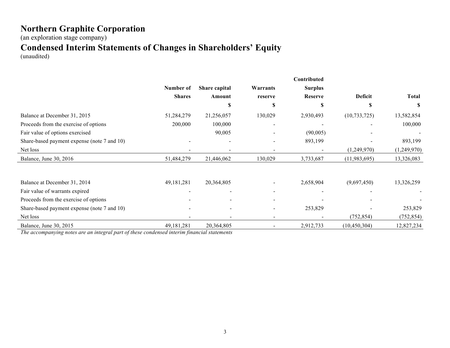(an exploration stage company)

## **Condensed Interim Statements of Changes in Shareholders' Equity**

(unaudited)

|                                             |               |                |          | Contributed    |                |              |
|---------------------------------------------|---------------|----------------|----------|----------------|----------------|--------------|
|                                             | Number of     | Share capital  | Warrants | <b>Surplus</b> |                |              |
|                                             | <b>Shares</b> | Amount         | reserve  | <b>Reserve</b> | <b>Deficit</b> | <b>Total</b> |
|                                             |               | S              | S        | S              |                | -S           |
| Balance at December 31, 2015                | 51,284,279    | 21,256,057     | 130,029  | 2,930,493      | (10, 733, 725) | 13,582,854   |
| Proceeds from the exercise of options       | 200,000       | 100,000        |          |                |                | 100,000      |
| Fair value of options exercised             |               | 90,005         |          | (90,005)       |                |              |
| Share-based payment expense (note 7 and 10) |               |                |          | 893,199        |                | 893,199      |
| Net loss                                    |               |                |          |                | (1,249,970)    | (1,249,970)  |
| Balance, June 30, 2016                      | 51,484,279    | 21,446,062     | 130,029  | 3,733,687      | (11, 983, 695) | 13,326,083   |
|                                             |               |                |          |                |                |              |
| Balance at December 31, 2014                | 49,181,281    | 20,364,805     |          | 2,658,904      | (9,697,450)    | 13,326,259   |
| Fair value of warrants expired              |               |                |          |                |                |              |
| Proceeds from the exercise of options       |               |                |          |                |                |              |
| Share-based payment expense (note 7 and 10) |               | $\blacksquare$ |          | 253,829        |                | 253,829      |
| Net loss                                    |               |                | ۰        |                | (752, 854)     | (752, 854)   |
| Balance, June 30, 2015                      | 49,181,281    | 20,364,805     |          | 2,912,733      | (10, 450, 304) | 12,827,234   |

*The accompanying notes are an integral part of these condensed interim financial statements*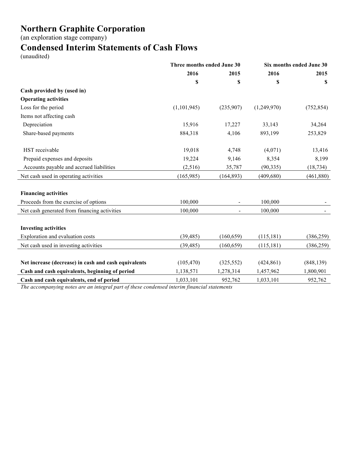(an exploration stage company)

## **Condensed Interim Statements of Cash Flows**

(unaudited)

|                                                      | Three months ended June 30 |                | Six months ended June 30 |            |
|------------------------------------------------------|----------------------------|----------------|--------------------------|------------|
|                                                      | 2016                       | 2015           | 2016                     | 2015       |
|                                                      | \$                         | \$             | \$                       | S          |
| Cash provided by (used in)                           |                            |                |                          |            |
| <b>Operating activities</b>                          |                            |                |                          |            |
| Loss for the period                                  | (1, 101, 945)              | (235,907)      | (1,249,970)              | (752, 854) |
| Items not affecting cash                             |                            |                |                          |            |
| Depreciation                                         | 15,916                     | 17,227         | 33,143                   | 34,264     |
| Share-based payments                                 | 884,318                    | 4,106          | 893,199                  | 253,829    |
| HST receivable                                       | 19,018                     | 4,748          | (4,071)                  | 13,416     |
| Prepaid expenses and deposits                        | 19,224                     | 9,146          | 8,354                    | 8,199      |
| Accounts payable and accrued liabilities             | (2,516)                    | 35,787         | (90, 335)                | (18, 734)  |
| Net cash used in operating activities                | (165,985)                  | (164, 893)     | (409, 680)               | (461, 880) |
| <b>Financing activities</b>                          |                            |                |                          |            |
| Proceeds from the exercise of options                | 100,000                    |                | 100,000                  |            |
| Net cash generated from financing activities         | 100,000                    | $\blacksquare$ | 100,000                  |            |
| <b>Investing activities</b>                          |                            |                |                          |            |
| Exploration and evaluation costs                     | (39, 485)                  | (160, 659)     | (115, 181)               | (386, 259) |
| Net cash used in investing activities                | (39, 485)                  | (160, 659)     | (115, 181)               | (386, 259) |
| Net increase (decrease) in cash and cash equivalents | (105, 470)                 | (325, 552)     | (424, 861)               | (848, 139) |
| Cash and cash equivalents, beginning of period       | 1,138,571                  | 1,278,314      | 1,457,962                | 1,800,901  |
| Cash and cash equivalents, end of period             | 1,033,101                  | 952,762        | 1,033,101                | 952,762    |

*The accompanying notes are an integral part of these condensed interim financial statements*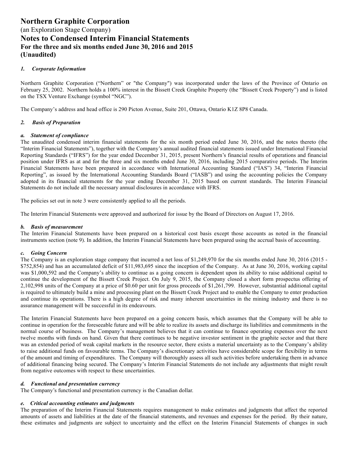#### *1. Corporate Information*

Northern Graphite Corporation ("Northern" or "the Company") was incorporated under the laws of the Province of Ontario on February 25, 2002. Northern holds a 100% interest in the Bissett Creek Graphite Property (the "Bissett Creek Property") and is listed on the TSX Venture Exchange (symbol "NGC").

The Company's address and head office is 290 Picton Avenue, Suite 201, Ottawa, Ontario K1Z 8P8 Canada.

#### *2. Basis of Preparation*

#### *a. Statement of compliance*

The unaudited condensed interim financial statements for the six month period ended June 30, 2016, and the notes thereto (the "Interim Financial Statements"), together with the Company's annual audited financial statements issued under International Financial Reporting Standards ("IFRS") for the year ended December 31, 2015, present Northern's financial results of operations and financial position under IFRS as at and for the three and six months ended June 30, 2016, including 2015 comparative periods. The Interim Financial Statements have been prepared in accordance with International Accounting Standard ("IAS") 34, "Interim Financial Reporting", as issued by the International Accounting Standards Board ("IASB") and using the accounting policies the Company adopted in its financial statements for the year ending December 31, 2015 based on current standards. The Interim Financial Statements do not include all the necessary annual disclosures in accordance with IFRS.

The policies set out in note 3 were consistently applied to all the periods.

The Interim Financial Statements were approved and authorized for issue by the Board of Directors on August 17, 2016.

#### *b. Basis of measurement*

The Interim Financial Statements have been prepared on a historical cost basis except those accounts as noted in the financial instruments section (note 9). In addition, the Interim Financial Statements have been prepared using the accrual basis of accounting.

#### *c. Going Concern*

The Company is an exploration stage company that incurred a net loss of \$1,249,970 for the six months ended June 30, 2016 (2015 - \$752,854) and has an accumulated deficit of \$11,983,695 since the inception of the Company. As at June 30, 2016, working capital was \$1,000,592 and the Company's ability to continue as a going concern is dependent upon its ability to raise additional capital to continue the development of the Bissett Creek Project. On July 9, 2015, the Company closed a short form prospectus offering of 2,102,998 units of the Company at a price of \$0.60 per unit for gross proceeds of \$1,261,799. However, substantial additional capital is required to ultimately build a mine and processing plant on the Bissett Creek Project and to enable the Company to enter production and continue its operations. There is a high degree of risk and many inherent uncertainties in the mining industry and there is no assurance management will be successful in its endeavours.

The Interim Financial Statements have been prepared on a going concern basis, which assumes that the Company will be able to continue in operation for the foreseeable future and will be able to realize its assets and discharge its liabilities and commitments in the normal course of business. The Company's management believes that it can continue to finance operating expenses over the next twelve months with funds on hand. Given that there continues to be negative investor sentiment in the graphite sector and that there was an extended period of weak capital markets in the resource sector, there exists a material uncertainty as to the Company's ability to raise additional funds on favourable terms. The Company's discretionary activities have considerable scope for flexibility in terms of the amount and timing of expenditures. The Company will thoroughly assess all such activities before undertaking them in advance of additional financing being secured. The Company's Interim Financial Statements do not include any adjustments that might result from negative outcomes with respect to these uncertainties.

#### *d. Functional and presentation currency*

The Company's functional and presentation currency is the Canadian dollar.

#### *e. Critical accounting estimates and judgments*

The preparation of the Interim Financial Statements requires management to make estimates and judgments that affect the reported amounts of assets and liabilities at the date of the financial statements, and revenues and expenses for the period. By their nature, these estimates and judgments are subject to uncertainty and the effect on the Interim Financial Statements of changes in such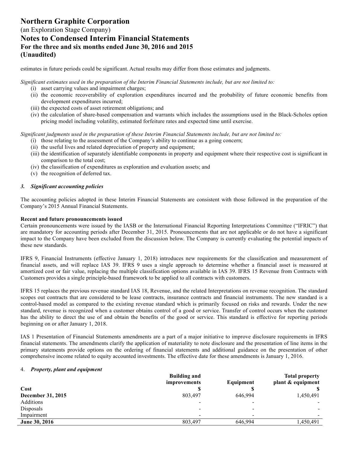## (an Exploration Stage Company) **Notes to Condensed Interim Financial Statements For the three and six months ended June 30, 2016 and 2015 (Unaudited)**

estimates in future periods could be significant. Actual results may differ from those estimates and judgments.

*Significant estimates used in the preparation of the Interim Financial Statements include, but are not limited to:* 

- (i) asset carrying values and impairment charges;
- (ii) the economic recoverability of exploration expenditures incurred and the probability of future economic benefits from development expenditures incurred;
- (iii) the expected costs of asset retirement obligations; and
- (iv) the calculation of share-based compensation and warrants which includes the assumptions used in the Black-Scholes option pricing model including volatility, estimated forfeiture rates and expected time until exercise.

*Significant judgments used in the preparation of these Interim Financial Statements include, but are not limited to:* 

- (i) those relating to the assessment of the Company's ability to continue as a going concern;
- (ii) the useful lives and related depreciation of property and equipment;
- (iii) the identification of separately identifiable components in property and equipment where their respective cost is significant in comparison to the total cost;
- (iv) the classification of expenditures as exploration and evaluation assets; and
- (v) the recognition of deferred tax.

#### *3. Significant accounting policies*

The accounting policies adopted in these Interim Financial Statements are consistent with those followed in the preparation of the Company's 2015 Annual Financial Statements.

#### **Recent and future pronouncements issued**

Certain pronouncements were issued by the IASB or the International Financial Reporting Interpretations Committee ("IFRIC") that are mandatory for accounting periods after December 31, 2015. Pronouncements that are not applicable or do not have a significant impact to the Company have been excluded from the discussion below. The Company is currently evaluating the potential impacts of these new standards.

IFRS 9, Financial Instruments (effective January 1, 2018) introduces new requirements for the classification and measurement of financial assets, and will replace IAS 39. IFRS 9 uses a single approach to determine whether a financial asset is measured at amortized cost or fair value, replacing the multiple classification options available in IAS 39. IFRS 15 Revenue from Contracts with Customers provides a single principle-based framework to be applied to all contracts with customers.

IFRS 15 replaces the previous revenue standard IAS 18, Revenue, and the related Interpretations on revenue recognition. The standard scopes out contracts that are considered to be lease contracts, insurance contracts and financial instruments. The new standard is a control-based model as compared to the existing revenue standard which is primarily focused on risks and rewards. Under the new standard, revenue is recognized when a customer obtains control of a good or service. Transfer of control occurs when the customer has the ability to direct the use of and obtain the benefits of the good or service. This standard is effective for reporting periods beginning on or after January 1, 2018.

IAS 1 Presentation of Financial Statements amendments are a part of a major initiative to improve disclosure requirements in IFRS financial statements. The amendments clarify the application of materiality to note disclosure and the presentation of line items in the primary statements provide options on the ordering of financial statements and additional guidance on the presentation of other comprehensive income related to equity accounted investments. The effective date for these amendments is January 1, 2016.

#### 4. *Property, plant and equipment*

|                   | <b>Building and</b> |           | <b>Total property</b> |
|-------------------|---------------------|-----------|-----------------------|
|                   | <i>improvements</i> | Equipment | plant & equipment     |
| Cost              |                     |           |                       |
| December 31, 2015 | 803,497             | 646,994   | 1,450,491             |
| Additions         | $\blacksquare$      |           |                       |
| Disposals         | ۰                   |           |                       |
| Impairment        | -                   |           |                       |
| June 30, 2016     | 803,497             | 646,994   | 1,450,491             |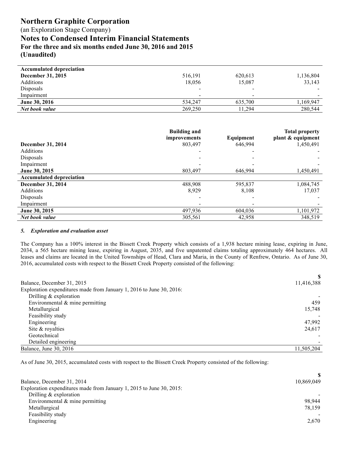(an Exploration Stage Company)

**Notes to Condensed Interim Financial Statements For the three and six months ended June 30, 2016 and 2015 (Unaudited)**

| 516,191                  | 620,613 | 1,136,804 |
|--------------------------|---------|-----------|
| 18,056                   | 15,087  | 33,143    |
| $\overline{\phantom{0}}$ |         |           |
| $\overline{\phantom{0}}$ |         |           |
| 534.247                  | 635.700 | 1,169,947 |
| 269,250                  | 11.294  | 280,544   |
|                          |         |           |

|                                 | <b>Building and</b><br>improvements | Equipment | <b>Total property</b><br>plant & equipment |
|---------------------------------|-------------------------------------|-----------|--------------------------------------------|
| <b>December 31, 2014</b>        | 803,497                             | 646.994   | 1,450,491                                  |
| Additions                       |                                     |           |                                            |
| Disposals                       |                                     |           |                                            |
| Impairment                      |                                     |           |                                            |
| <b>June 30, 2015</b>            | 803.497                             | 646.994   | 1,450,491                                  |
| <b>Accumulated depreciation</b> |                                     |           |                                            |
| December 31, 2014               | 488,908                             | 595,837   | 1,084,745                                  |
| Additions                       | 8.929                               | 8,108     | 17,037                                     |
| Disposals                       |                                     |           |                                            |
| Impairment                      |                                     |           |                                            |
| June 30, 2015                   | 497,936                             | 604,036   | 1,101,972                                  |
| Net book value                  | 305,561                             | 42,958    | 348,519                                    |

#### *5. Exploration and evaluation asset*

The Company has a 100% interest in the Bissett Creek Property which consists of a 1,938 hectare mining lease, expiring in June, 2034, a 565 hectare mining lease, expiring in August, 2035, and five unpatented claims totaling approximately 464 hectares. All leases and claims are located in the United Townships of Head, Clara and Maria, in the County of Renfrew, Ontario. As of June 30, 2016, accumulated costs with respect to the Bissett Creek Property consisted of the following:

|                                                                      | S          |
|----------------------------------------------------------------------|------------|
| Balance, December 31, 2015                                           | 11,416,388 |
| Exploration expenditures made from January 1, 2016 to June 30, 2016: |            |
| Drilling $&$ exploration                                             |            |
| Environmental $\&$ mine permitting                                   | 459        |
| Metallurgical                                                        | 15,748     |
| Feasibility study                                                    |            |
| Engineering                                                          | 47,992     |
| Site & royalties                                                     | 24,617     |
| Geotechnical                                                         |            |
| Detailed engineering                                                 |            |
| Balance, June 30, 2016                                               | 11,505,204 |
|                                                                      |            |

As of June 30, 2015, accumulated costs with respect to the Bissett Creek Property consisted of the following:

| 10,869,049 |
|------------|
|            |
|            |
| 98.944     |
| 78,159     |
|            |
| 2,670      |
|            |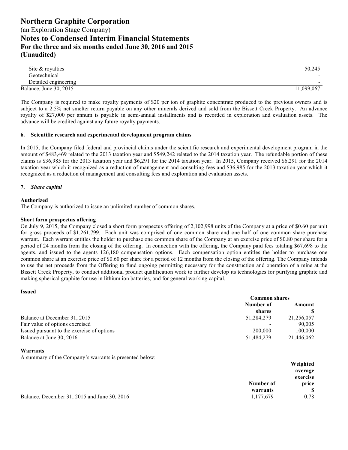| Site & royalties       | 50.245     |
|------------------------|------------|
| Geotechnical           | -          |
| Detailed engineering   | -          |
| Balance, June 30, 2015 | 11,099,067 |

The Company is required to make royalty payments of \$20 per ton of graphite concentrate produced to the previous owners and is subject to a 2.5% net smelter return payable on any other minerals derived and sold from the Bissett Creek Property. An advance royalty of \$27,000 per annum is payable in semi-annual installments and is recorded in exploration and evaluation assets. The advance will be credited against any future royalty payments.

#### **6. Scientific research and experimental development program claims**

In 2015, the Company filed federal and provincial claims under the scientific research and experimental development program in the amount of \$483,469 related to the 2013 taxation year and \$549,242 related to the 2014 taxation year. The refundable portion of these claims is \$36,985 for the 2013 taxation year and \$6,291 for the 2014 taxation year. In 2015, Company received \$6,291 for the 2014 taxation year which it recognized as a reduction of management and consulting fees and \$36,985 for the 2013 taxation year which it recognized as a reduction of management and consulting fees and exploration and evaluation assets.

#### **7.** *Share capital*

#### **Authorized**

The Company is authorized to issue an unlimited number of common shares.

#### **Short form prospectus offering**

On July 9, 2015, the Company closed a short form prospectus offering of 2,102,998 units of the Company at a price of \$0.60 per unit for gross proceeds of \$1,261,799. Each unit was comprised of one common share and one half of one common share purchase warrant. Each warrant entitles the holder to purchase one common share of the Company at an exercise price of \$0.80 per share for a period of 24 months from the closing of the offering. In connection with the offering, the Company paid fees totaling \$67,698 to the agents, and issued to the agents 126,180 compensation options. Each compensation option entitles the holder to purchase one common share at an exercise price of \$0.60 per share for a period of 12 months from the closing of the offering. The Company intends to use the net proceeds from the Offering to fund ongoing permitting necessary for the construction and operation of a mine at the Bissett Creek Property, to conduct additional product qualification work to further develop its technologies for purifying graphite and making spherical graphite for use in lithium ion batteries, and for general working capital.

|                                            | <b>Common shares</b> |            |  |
|--------------------------------------------|----------------------|------------|--|
|                                            | Number of<br>Amount  |            |  |
|                                            | shares               |            |  |
| Balance at December 31, 2015               | 51,284,279           | 21,256,057 |  |
| Fair value of options exercised            |                      | 90,005     |  |
| Issued pursuant to the exercise of options | 200.000              | 100,000    |  |
| Balance at June 30, 2016                   | 51,484,279           | 21,446,062 |  |

#### **Warrants**

**Issued**

A summary of the Company's warrants is presented below:

|                                              |           | Weighted |
|----------------------------------------------|-----------|----------|
|                                              |           | average  |
|                                              |           | exercise |
|                                              | Number of | price    |
|                                              | warrants  | -SS      |
| Balance, December 31, 2015 and June 30, 2016 | 1,177,679 | 0.78     |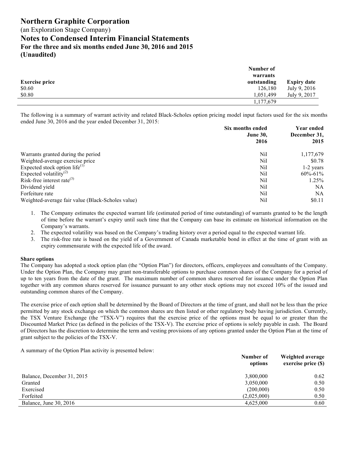**(Unaudited)**

|                       | Number of   |                    |
|-----------------------|-------------|--------------------|
|                       | warrants    |                    |
| <b>Exercise price</b> | outstanding | <b>Expiry date</b> |
| \$0.60                | 126,180     | July 9, 2016       |
| \$0.80                | 1,051,499   | July 9, 2017       |
|                       | 1,177,679   |                    |

The following is a summary of warrant activity and related Black-Scholes option pricing model input factors used for the six months ended June 30, 2016 and the year ended December 31, 2015:

|                                                   | Six months ended<br><b>June 30,</b> |               |
|---------------------------------------------------|-------------------------------------|---------------|
|                                                   | 2016                                | 2015          |
| Warrants granted during the period                | Nil                                 | 1,177,679     |
| Weighted-average exercise price                   | Nil                                 | \$0.78        |
| Expected stock option life $^{(1)}$               | Nil                                 | $1-2$ years   |
| Expected volatility <sup>(2)</sup>                | Nil                                 | $60\% - 61\%$ |
| Risk-free interest rate <sup>(3)</sup>            | Nil                                 | 1.25%         |
| Dividend yield                                    | Nil                                 | NΑ            |
| Forfeiture rate                                   | Nil                                 | NA            |
| Weighted-average fair value (Black-Scholes value) | Nil                                 | \$0.11        |

- 1. The Company estimates the expected warrant life (estimated period of time outstanding) of warrants granted to be the length of time before the warrant's expiry until such time that the Company can base its estimate on historical information on the Company's warrants.
- 2. The expected volatility was based on the Company's trading history over a period equal to the expected warrant life.
- 3. The risk-free rate is based on the yield of a Government of Canada marketable bond in effect at the time of grant with an expiry commensurate with the expected life of the award.

#### **Share options**

The Company has adopted a stock option plan (the "Option Plan") for directors, officers, employees and consultants of the Company. Under the Option Plan, the Company may grant non-transferable options to purchase common shares of the Company for a period of up to ten years from the date of the grant. The maximum number of common shares reserved for issuance under the Option Plan together with any common shares reserved for issuance pursuant to any other stock options may not exceed 10% of the issued and outstanding common shares of the Company.

The exercise price of each option shall be determined by the Board of Directors at the time of grant, and shall not be less than the price permitted by any stock exchange on which the common shares are then listed or other regulatory body having jurisdiction. Currently, the TSX Venture Exchange (the "TSX-V") requires that the exercise price of the options must be equal to or greater than the Discounted Market Price (as defined in the policies of the TSX-V). The exercise price of options is solely payable in cash. The Board of Directors has the discretion to determine the term and vesting provisions of any options granted under the Option Plan at the time of grant subject to the policies of the TSX-V.

A summary of the Option Plan activity is presented below:

| Number of<br>options | Weighted average<br>exercise price (\$) |
|----------------------|-----------------------------------------|
| 3,800,000            | 0.62                                    |
| 3,050,000            | 0.50                                    |
| (200,000)            | 0.50                                    |
| (2,025,000)          | 0.50                                    |
| 4,625,000            | 0.60                                    |
|                      |                                         |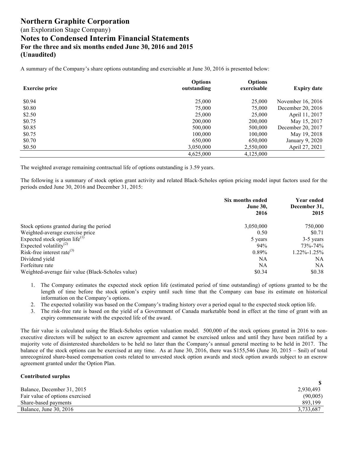A summary of the Company's share options outstanding and exercisable at June 30, 2016 is presented below:

| <b>Exercise price</b> | <b>Options</b><br>outstanding | <b>Options</b><br>exercisable | <b>Expiry date</b> |
|-----------------------|-------------------------------|-------------------------------|--------------------|
| \$0.94                | 25,000                        | 25,000                        | November 16, 2016  |
| \$0.80                | 75,000                        | 75,000                        | December 20, 2016  |
| \$2.50                | 25,000                        | 25,000                        | April 11, 2017     |
| \$0.75                | 200,000                       | 200,000                       | May 15, 2017       |
| \$0.85                | 500,000                       | 500,000                       | December 20, 2017  |
| \$0.75                | 100,000                       | 100,000                       | May 19, 2018       |
| \$0.70                | 650,000                       | 650,000                       | January 9, 2020    |
| \$0.50                | 3,050,000                     | 2,550,000                     | April 27, 2021     |
|                       | 4,625,000                     | 4,125,000                     |                    |

The weighted average remaining contractual life of options outstanding is 3.59 years.

The following is a summary of stock option grant activity and related Black-Scholes option pricing model input factors used for the periods ended June 30, 2016 and December 31, 2015:

|                                                   | Six months ended<br><b>June 30,</b><br>2016 | Year ended<br>December 31,<br>2015 |
|---------------------------------------------------|---------------------------------------------|------------------------------------|
| Stock options granted during the period           | 3,050,000                                   | 750,000                            |
| Weighted-average exercise price                   | 0.50                                        | \$0.71                             |
| Expected stock option life <sup>(1)</sup>         | 5 years                                     | 3-5 years                          |
| Expected volatility <sup>(2)</sup>                | 94%                                         | 73%-74%                            |
| Risk-free interest rate <sup>(3)</sup>            | $0.89\%$                                    | $1.22\% - 1.25\%$                  |
| Dividend yield                                    | NA                                          | NA.                                |
| Forfeiture rate                                   | NA                                          | NA                                 |
| Weighted-average fair value (Black-Scholes value) | \$0.34                                      | \$0.38                             |

- 1. The Company estimates the expected stock option life (estimated period of time outstanding) of options granted to be the length of time before the stock option's expiry until such time that the Company can base its estimate on historical information on the Company's options.
- 2. The expected volatility was based on the Company's trading history over a period equal to the expected stock option life.
- 3. The risk-free rate is based on the yield of a Government of Canada marketable bond in effect at the time of grant with an expiry commensurate with the expected life of the award.

The fair value is calculated using the Black-Scholes option valuation model. 500,000 of the stock options granted in 2016 to nonexecutive directors will be subject to an escrow agreement and cannot be exercised unless and until they have been ratified by a majority vote of disinterested shareholders to be held no later than the Company's annual general meeting to be held in 2017. The balance of the stock options can be exercised at any time. As at June 30, 2016, there was \$155,546 (June 30, 2015 – \$nil) of total unrecognized share-based compensation costs related to unvested stock option awards and stock option awards subject to an escrow agreement granted under the Option Plan.

#### **Contributed surplus**

| Balance, December 31, 2015      | 2,930,493 |
|---------------------------------|-----------|
| Fair value of options exercised | (90,005)  |
| Share-based payments            | 893.199   |
| Balance, June 30, 2016          | 3,733,687 |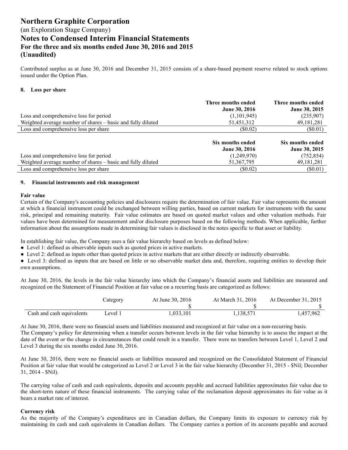Contributed surplus as at June 30, 2016 and December 31, 2015 consists of a share-based payment reserve related to stock options issued under the Option Plan.

#### **8. Loss per share**

|                                                             | Three months ended<br><b>June 30, 2016</b> | Three months ended<br>June 30, 2015 |
|-------------------------------------------------------------|--------------------------------------------|-------------------------------------|
| Loss and comprehensive loss for period                      | (1,101,945)                                | (235,907)                           |
| Weighted average number of shares – basic and fully diluted | 51,451,312                                 | 49, 181, 281                        |
| Loss and comprehensive loss per share                       | (S0.02)                                    | $(\$0.01)$                          |
|                                                             | Six months ended<br><b>June 30, 2016</b>   | Six months ended<br>June 30, 2015   |
| Loss and comprehensive loss for period                      | (1,249,970)                                | (752, 854)                          |
| Weighted average number of shares – basic and fully diluted | 51, 367, 795                               | 49, 181, 281                        |
| Loss and comprehensive loss per share                       | (S0.02)                                    | (S0.01)                             |

#### **9. Financial instruments and risk management**

#### **Fair value**

Certain of the Company's accounting policies and disclosures require the determination of fair value. Fair value represents the amount at which a financial instrument could be exchanged between willing parties, based on current markets for instruments with the same risk, principal and remaining maturity. Fair value estimates are based on quoted market values and other valuation methods. Fair values have been determined for measurement and/or disclosure purposes based on the following methods. When applicable, further information about the assumptions made in determining fair values is disclosed in the notes specific to that asset or liability.

In establishing fair value, the Company uses a fair value hierarchy based on levels as defined below:

- Level 1: defined as observable inputs such as quoted prices in active markets.
- Level 2: defined as inputs other than quoted prices in active markets that are either directly or indirectly observable.

• Level 3: defined as inputs that are based on little or no observable market data and, therefore, requiring entities to develop their own assumptions.

At June 30, 2016, the levels in the fair value hierarchy into which the Company's financial assets and liabilities are measured and recognized on the Statement of Financial Position at fair value on a recurring basis are categorized as follows:

|                           | Category | At June 30, 2016 | At March 31, 2016 | At December 31, 2015 |
|---------------------------|----------|------------------|-------------------|----------------------|
|                           |          |                  |                   |                      |
| Cash and cash equivalents | Level 1  | 1,033,101        | 1.138.571         | 1,457,962            |

At June 30, 2016, there were no financial assets and liabilities measured and recognized at fair value on a non-recurring basis. The Company's policy for determining when a transfer occurs between levels in the fair value hierarchy is to assess the impact at the date of the event or the change in circumstances that could result in a transfer. There were no transfers between Level 1, Level 2 and Level 3 during the six months ended June 30, 2016.

At June 30, 2016, there were no financial assets or liabilities measured and recognized on the Consolidated Statement of Financial Position at fair value that would be categorized as Level 2 or Level 3 in the fair value hierarchy (December 31, 2015 - \$Nil; December 31, 2014 - \$Nil).

The carrying value of cash and cash equivalents, deposits and accounts payable and accrued liabilities approximates fair value due to the short-term nature of these financial instruments. The carrying value of the reclamation deposit approximates its fair value as it bears a market rate of interest.

#### **Currency risk**

As the majority of the Company's expenditures are in Canadian dollars, the Company limits its exposure to currency risk by maintaining its cash and cash equivalents in Canadian dollars. The Company carries a portion of its accounts payable and accrued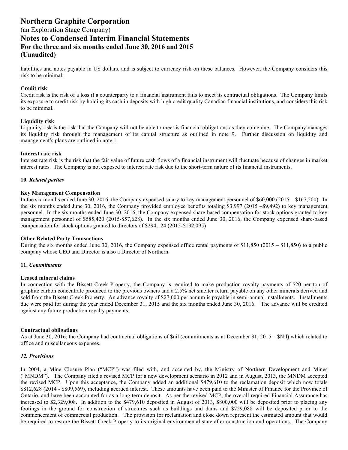(an Exploration Stage Company)

**Notes to Condensed Interim Financial Statements For the three and six months ended June 30, 2016 and 2015 (Unaudited)**

liabilities and notes payable in US dollars, and is subject to currency risk on these balances. However, the Company considers this risk to be minimal.

#### **Credit risk**

Credit risk is the risk of a loss if a counterparty to a financial instrument fails to meet its contractual obligations. The Company limits its exposure to credit risk by holding its cash in deposits with high credit quality Canadian financial institutions, and considers this risk to be minimal.

#### **Liquidity risk**

Liquidity risk is the risk that the Company will not be able to meet is financial obligations as they come due. The Company manages its liquidity risk through the management of its capital structure as outlined in note 9. Further discussion on liquidity and management's plans are outlined in note 1.

#### **Interest rate risk**

Interest rate risk is the risk that the fair value of future cash flows of a financial instrument will fluctuate because of changes in market interest rates. The Company is not exposed to interest rate risk due to the short-term nature of its financial instruments.

#### **10.** *Related parties*

#### **Key Management Compensation**

In the six months ended June 30, 2016, the Company expensed salary to key management personnel of \$60,000 (2015 – \$167,500). In the six months ended June 30, 2016, the Company provided employee benefits totaling \$3,997 (2015 –\$9,492) to key management personnel. In the six months ended June 30, 2016, the Company expensed share-based compensation for stock options granted to key management personnel of \$585,420 (2015-\$57,628). In the six months ended June 30, 2016, the Company expensed share-based compensation for stock options granted to directors of \$294,124 (2015-\$192,095)

#### **Other Related Party Transactions**

During the six months ended June 30, 2016, the Company expensed office rental payments of  $$11,850$  (2015 –  $$11,850$ ) to a public company whose CEO and Director is also a Director of Northern.

#### **11.** *Commitments*

#### **Leased mineral claims**

In connection with the Bissett Creek Property, the Company is required to make production royalty payments of \$20 per ton of graphite carbon concentrate produced to the previous owners and a 2.5% net smelter return payable on any other minerals derived and sold from the Bissett Creek Property. An advance royalty of \$27,000 per annum is payable in semi-annual installments. Installments due were paid for during the year ended December 31, 2015 and the six months ended June 30, 2016. The advance will be credited against any future production royalty payments.

#### **Contractual obligations**

As at June 30, 2016, the Company had contractual obligations of \$nil (commitments as at December 31, 2015 – \$Nil) which related to office and miscellaneous expenses.

#### *12. Provisions*

In 2004, a Mine Closure Plan ("MCP") was filed with, and accepted by, the Ministry of Northern Development and Mines ("MNDM"). The Company filed a revised MCP for a new development scenario in 2012 and in August, 2013, the MNDM accepted the revised MCP. Upon this acceptance, the Company added an additional \$479,610 to the reclamation deposit which now totals \$812,628 (2014 - \$809,569), including accrued interest. These amounts have been paid to the Minister of Finance for the Province of Ontario, and have been accounted for as a long term deposit. As per the revised MCP, the overall required Financial Assurance has increased to \$2,329,008. In addition to the \$479,610 deposited in August of 2013, \$800,000 will be deposited prior to placing any footings in the ground for construction of structures such as buildings and dams and \$729,088 will be deposited prior to the commencement of commercial production. The provision for reclamation and close down represent the estimated amount that would be required to restore the Bissett Creek Property to its original environmental state after construction and operations. The Company